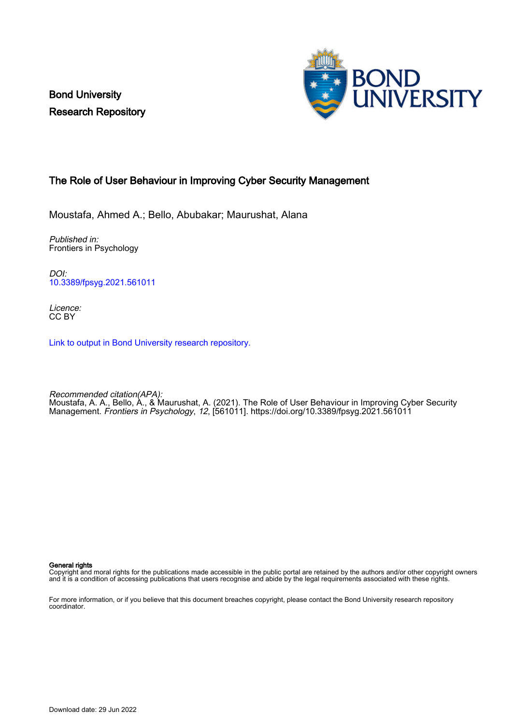Bond University Research Repository



## The Role of User Behaviour in Improving Cyber Security Management

Moustafa, Ahmed A.; Bello, Abubakar; Maurushat, Alana

Published in: Frontiers in Psychology

DOI: [10.3389/fpsyg.2021.561011](https://doi.org/10.3389/fpsyg.2021.561011)

Licence: CC BY

[Link to output in Bond University research repository.](https://research.bond.edu.au/en/publications/365b82d9-8119-4557-8628-45edd5b350ad)

Recommended citation(APA): Moustafa, A. A., Bello, A., & Maurushat, A. (2021). The Role of User Behaviour in Improving Cyber Security Management. Frontiers in Psychology, 12, [561011].<https://doi.org/10.3389/fpsyg.2021.561011>

General rights

Copyright and moral rights for the publications made accessible in the public portal are retained by the authors and/or other copyright owners and it is a condition of accessing publications that users recognise and abide by the legal requirements associated with these rights.

For more information, or if you believe that this document breaches copyright, please contact the Bond University research repository coordinator.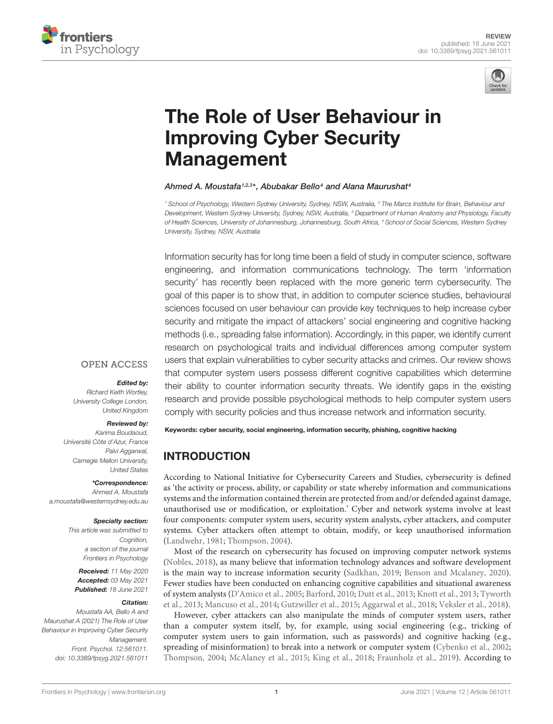



# [The Role of User Behaviour in](https://www.frontiersin.org/articles/10.3389/fpsyg.2021.561011/full) Improving Cyber Security Management

#### Ahmed A. Moustafa1,2,3\*, Abubakar Bello4 and Alana Maurushat4

<sup>1</sup> School of Psychology, Western Sydney University, Sydney, NSW, Australia, <sup>2</sup> The Marcs Institute for Brain, Behaviour and Development, Western Sydney University, Sydney, NSW, Australia, <sup>3</sup> Department of Human Anatomy and Physiology, Faculty of Health Sciences, University of Johannesburg, Johannesburg, South Africa, <sup>4</sup> School of Social Sciences, Western Sydney University, Sydney, NSW, Australia

Information security has for long time been a field of study in computer science, software engineering, and information communications technology. The term 'information security' has recently been replaced with the more generic term cybersecurity. The goal of this paper is to show that, in addition to computer science studies, behavioural sciences focused on user behaviour can provide key techniques to help increase cyber security and mitigate the impact of attackers' social engineering and cognitive hacking methods (i.e., spreading false information). Accordingly, in this paper, we identify current research on psychological traits and individual differences among computer system users that explain vulnerabilities to cyber security attacks and crimes. Our review shows that computer system users possess different cognitive capabilities which determine their ability to counter information security threats. We identify gaps in the existing research and provide possible psychological methods to help computer system users comply with security policies and thus increase network and information security.

#### **OPEN ACCESS**

#### Edited by:

Richard Keith Wortley, University College London, United Kingdom

#### Reviewed by:

Karima Boudaoud, Université Côte d'Azur, France Palvi Aggarwal, Carnegie Mellon University, United States

\*Correspondence:

Ahmed A. Moustafa a.moustafa@westernsydney.edu.au

#### Specialty section:

This article was submitted to Cognition, a section of the journal Frontiers in Psychology

Received: 11 May 2020 Accepted: 03 May 2021 Published: 18 June 2021

#### Citation:

Moustafa AA, Bello A and Maurushat A (2021) The Role of User Behaviour in Improving Cyber Security Management. Front. Psychol. 12:561011. doi: [10.3389/fpsyg.2021.561011](https://doi.org/10.3389/fpsyg.2021.561011)

Keywords: cyber security, social engineering, information security, phishing, cognitive hacking

# INTRODUCTION

According to National Initiative for Cybersecurity Careers and Studies, cybersecurity is defined as 'the activity or process, ability, or capability or state whereby information and communications systems and the information contained therein are protected from and/or defended against damage, unauthorised use or modification, or exploitation.' Cyber and network systems involve at least four components: computer system users, security system analysts, cyber attackers, and computer systems. Cyber attackers often attempt to obtain, modify, or keep unauthorised information [\(Landwehr,](#page-8-0) [1981;](#page-8-0) [Thompson,](#page-9-0) [2004\)](#page-9-0).

Most of the research on cybersecurity has focused on improving computer network systems [\(Nobles,](#page-8-1) [2018\)](#page-8-1), as many believe that information technology advances and software development is the main way to increase information security [\(Sadkhan,](#page-9-1) [2019;](#page-9-1) [Benson and Mcalaney,](#page-7-0) [2020\)](#page-7-0). Fewer studies have been conducted on enhancing cognitive capabilities and situational awareness of system analysts [\(D'Amico et al.,](#page-7-1) [2005;](#page-7-1) [Barford,](#page-7-2) [2010;](#page-7-2) [Dutt et al.,](#page-7-3) [2013;](#page-7-3) [Knott et al.,](#page-8-2) [2013;](#page-8-2) [Tyworth](#page-9-2) [et al.,](#page-9-2) [2013;](#page-9-2) [Mancuso et al.,](#page-8-3) [2014;](#page-8-3) [Gutzwiller et al.,](#page-7-4) [2015;](#page-7-4) [Aggarwal et al.,](#page-6-0) [2018;](#page-6-0) [Veksler et al.,](#page-9-3) [2018\)](#page-9-3).

However, cyber attackers can also manipulate the minds of computer system users, rather than a computer system itself, by, for example, using social engineering (e.g., tricking of computer system users to gain information, such as passwords) and cognitive hacking (e.g., spreading of misinformation) to break into a network or computer system [\(Cybenko et al.,](#page-7-5) [2002;](#page-7-5) [Thompson,](#page-9-0) [2004;](#page-9-0) [McAlaney et al.,](#page-8-4) [2015;](#page-8-4) [King et al.,](#page-8-5) [2018;](#page-8-5) [Fraunholz et al.,](#page-7-6) [2019\)](#page-7-6). According to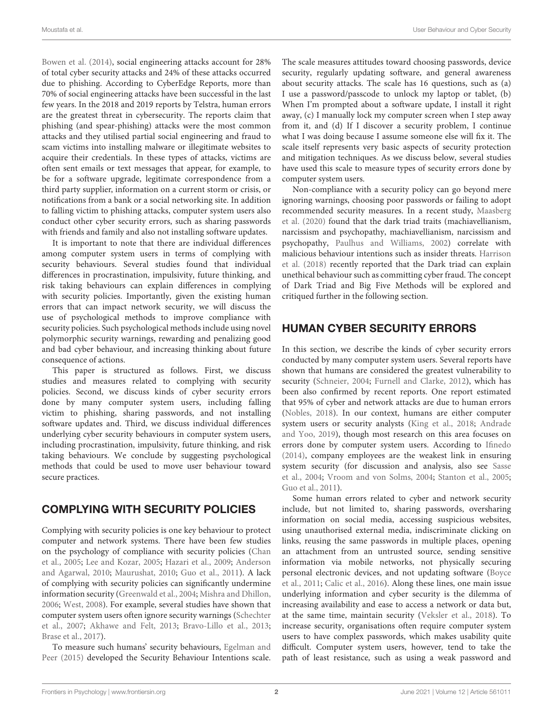[Bowen et al.](#page-7-7) [\(2014\)](#page-7-7), social engineering attacks account for 28% of total cyber security attacks and 24% of these attacks occurred due to phishing. According to CyberEdge Reports, more than 70% of social engineering attacks have been successful in the last few years. In the 2018 and 2019 reports by Telstra, human errors are the greatest threat in cybersecurity. The reports claim that phishing (and spear-phishing) attacks were the most common attacks and they utilised partial social engineering and fraud to scam victims into installing malware or illegitimate websites to acquire their credentials. In these types of attacks, victims are often sent emails or text messages that appear, for example, to be for a software upgrade, legitimate correspondence from a third party supplier, information on a current storm or crisis, or notifications from a bank or a social networking site. In addition to falling victim to phishing attacks, computer system users also conduct other cyber security errors, such as sharing passwords with friends and family and also not installing software updates.

It is important to note that there are individual differences among computer system users in terms of complying with security behaviours. Several studies found that individual differences in procrastination, impulsivity, future thinking, and risk taking behaviours can explain differences in complying with security policies. Importantly, given the existing human errors that can impact network security, we will discuss the use of psychological methods to improve compliance with security policies. Such psychological methods include using novel polymorphic security warnings, rewarding and penalizing good and bad cyber behaviour, and increasing thinking about future consequence of actions.

This paper is structured as follows. First, we discuss studies and measures related to complying with security policies. Second, we discuss kinds of cyber security errors done by many computer system users, including falling victim to phishing, sharing passwords, and not installing software updates and. Third, we discuss individual differences underlying cyber security behaviours in computer system users, including procrastination, impulsivity, future thinking, and risk taking behaviours. We conclude by suggesting psychological methods that could be used to move user behaviour toward secure practices.

# COMPLYING WITH SECURITY POLICIES

Complying with security policies is one key behaviour to protect computer and network systems. There have been few studies on the psychology of compliance with security policies [\(Chan](#page-7-8) [et al.,](#page-7-8) [2005;](#page-7-8) [Lee and Kozar,](#page-8-6) [2005;](#page-8-6) [Hazari et al.,](#page-7-9) [2009;](#page-7-9) [Anderson](#page-6-1) [and Agarwal,](#page-6-1) [2010;](#page-6-1) [Maurushat,](#page-8-7) [2010;](#page-8-7) [Guo et al.,](#page-7-10) [2011\)](#page-7-10). A lack of complying with security policies can significantly undermine information security [\(Greenwald et al.,](#page-7-11) [2004;](#page-7-11) [Mishra and Dhillon,](#page-8-8) [2006;](#page-8-8) [West,](#page-9-4) [2008\)](#page-9-4). For example, several studies have shown that computer system users often ignore security warnings [\(Schechter](#page-9-5) [et al.,](#page-9-5) [2007;](#page-9-5) [Akhawe and Felt,](#page-6-2) [2013;](#page-6-2) [Bravo-Lillo et al.,](#page-7-12) [2013;](#page-7-12) [Brase et al.,](#page-7-13) [2017\)](#page-7-13).

To measure such humans' security behaviours, [Egelman and](#page-7-14) [Peer](#page-7-14) [\(2015\)](#page-7-14) developed the Security Behaviour Intentions scale. The scale measures attitudes toward choosing passwords, device security, regularly updating software, and general awareness about security attacks. The scale has 16 questions, such as (a) I use a password/passcode to unlock my laptop or tablet, (b) When I'm prompted about a software update, I install it right away, (c) I manually lock my computer screen when I step away from it, and (d) If I discover a security problem, I continue what I was doing because I assume someone else will fix it. The scale itself represents very basic aspects of security protection and mitigation techniques. As we discuss below, several studies have used this scale to measure types of security errors done by computer system users.

Non-compliance with a security policy can go beyond mere ignoring warnings, choosing poor passwords or failing to adopt recommended security measures. In a recent study, [Maasberg](#page-8-9) [et al.](#page-8-9) [\(2020\)](#page-8-9) found that the dark triad traits (machiavellianism, narcissism and psychopathy, machiavellianism, narcissism and psychopathy, [Paulhus and Williams,](#page-8-10) [2002\)](#page-8-10) correlate with malicious behaviour intentions such as insider threats. [Harrison](#page-7-15) [et al.](#page-7-15) [\(2018\)](#page-7-15) recently reported that the Dark triad can explain unethical behaviour such as committing cyber fraud. The concept of Dark Triad and Big Five Methods will be explored and critiqued further in the following section.

# HUMAN CYBER SECURITY ERRORS

In this section, we describe the kinds of cyber security errors conducted by many computer system users. Several reports have shown that humans are considered the greatest vulnerability to security [\(Schneier,](#page-9-6) [2004;](#page-9-6) [Furnell and Clarke,](#page-7-16) [2012\)](#page-7-16), which has been also confirmed by recent reports. One report estimated that 95% of cyber and network attacks are due to human errors [\(Nobles,](#page-8-1) [2018\)](#page-8-1). In our context, humans are either computer system users or security analysts [\(King et al.,](#page-8-5) [2018;](#page-8-5) [Andrade](#page-6-3) [and Yoo,](#page-6-3) [2019\)](#page-6-3), though most research on this area focuses on errors done by computer system users. According to [Ifinedo](#page-8-11) [\(2014\)](#page-8-11), company employees are the weakest link in ensuring system security (for discussion and analysis, also see [Sasse](#page-9-7) [et al.,](#page-9-7) [2004;](#page-9-7) [Vroom and von Solms,](#page-9-8) [2004;](#page-9-8) [Stanton et al.,](#page-9-9) [2005;](#page-9-9) [Guo et al.,](#page-7-10) [2011\)](#page-7-10).

Some human errors related to cyber and network security include, but not limited to, sharing passwords, oversharing information on social media, accessing suspicious websites, using unauthorised external media, indiscriminate clicking on links, reusing the same passwords in multiple places, opening an attachment from an untrusted source, sending sensitive information via mobile networks, not physically securing personal electronic devices, and not updating software [\(Boyce](#page-7-17) [et al.,](#page-7-17) [2011;](#page-7-17) [Calic et al.,](#page-7-18) [2016\)](#page-7-18). Along these lines, one main issue underlying information and cyber security is the dilemma of increasing availability and ease to access a network or data but, at the same time, maintain security [\(Veksler et al.,](#page-9-3) [2018\)](#page-9-3). To increase security, organisations often require computer system users to have complex passwords, which makes usability quite difficult. Computer system users, however, tend to take the path of least resistance, such as using a weak password and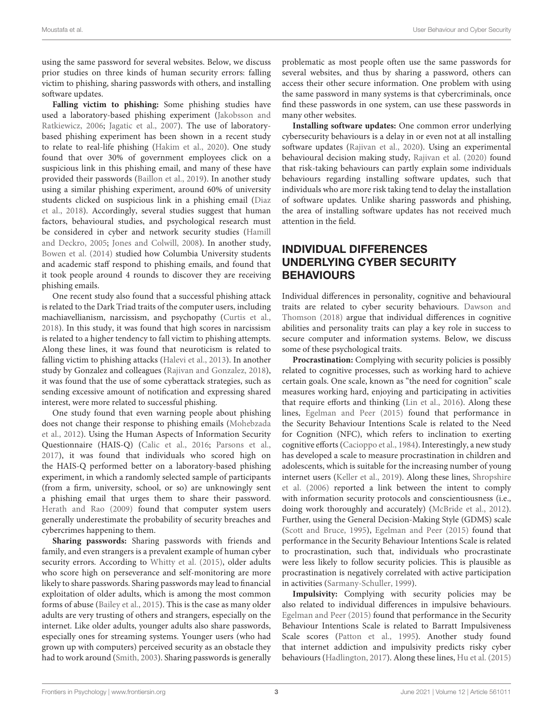using the same password for several websites. Below, we discuss prior studies on three kinds of human security errors: falling victim to phishing, sharing passwords with others, and installing software updates.

**Falling victim to phishing:** Some phishing studies have used a laboratory-based phishing experiment [\(Jakobsson and](#page-8-12) [Ratkiewicz,](#page-8-12) [2006;](#page-8-12) [Jagatic et al.,](#page-8-13) [2007\)](#page-8-13). The use of laboratorybased phishing experiment has been shown in a recent study to relate to real-life phishing [\(Hakim et al.,](#page-7-19) [2020\)](#page-7-19). One study found that over 30% of government employees click on a suspicious link in this phishing email, and many of these have provided their passwords [\(Baillon et al.,](#page-7-20) [2019\)](#page-7-20). In another study using a similar phishing experiment, around 60% of university students clicked on suspicious link in a phishing email [\(Diaz](#page-7-21) [et al.,](#page-7-21) [2018\)](#page-7-21). Accordingly, several studies suggest that human factors, behavioural studies, and psychological research must be considered in cyber and network security studies [\(Hamill](#page-7-22) [and Deckro,](#page-7-22) [2005;](#page-7-22) [Jones and Colwill,](#page-8-14) [2008\)](#page-8-14). In another study, [Bowen et al.](#page-7-7) [\(2014\)](#page-7-7) studied how Columbia University students and academic staff respond to phishing emails, and found that it took people around 4 rounds to discover they are receiving phishing emails.

One recent study also found that a successful phishing attack is related to the Dark Triad traits of the computer users, including machiavellianism, narcissism, and psychopathy [\(Curtis et al.,](#page-7-23) [2018\)](#page-7-23). In this study, it was found that high scores in narcissism is related to a higher tendency to fall victim to phishing attempts. Along these lines, it was found that neuroticism is related to falling victim to phishing attacks [\(Halevi et al.,](#page-7-24) [2013\)](#page-7-24). In another study by Gonzalez and colleagues [\(Rajivan and Gonzalez,](#page-9-10) [2018\)](#page-9-10), it was found that the use of some cyberattack strategies, such as sending excessive amount of notification and expressing shared interest, were more related to successful phishing.

One study found that even warning people about phishing does not change their response to phishing emails [\(Mohebzada](#page-8-15) [et al.,](#page-8-15) [2012\)](#page-8-15). Using the Human Aspects of Information Security Questionnaire (HAIS-Q) [\(Calic et al.,](#page-7-18) [2016;](#page-7-18) [Parsons et al.,](#page-8-16) [2017\)](#page-8-16), it was found that individuals who scored high on the HAIS-Q performed better on a laboratory-based phishing experiment, in which a randomly selected sample of participants (from a firm, university, school, or so) are unknowingly sent a phishing email that urges them to share their password. [Herath and Rao](#page-7-25) [\(2009\)](#page-7-25) found that computer system users generally underestimate the probability of security breaches and cybercrimes happening to them.

**Sharing passwords:** Sharing passwords with friends and family, and even strangers is a prevalent example of human cyber security errors. According to [Whitty et al.](#page-9-11) [\(2015\)](#page-9-11), older adults who score high on perseverance and self-monitoring are more likely to share passwords. Sharing passwords may lead to financial exploitation of older adults, which is among the most common forms of abuse [\(Bailey et al.,](#page-7-26) [2015\)](#page-7-26). This is the case as many older adults are very trusting of others and strangers, especially on the internet. Like older adults, younger adults also share passwords, especially ones for streaming systems. Younger users (who had grown up with computers) perceived security as an obstacle they had to work around [\(Smith,](#page-9-12) [2003\)](#page-9-12). Sharing passwords is generally problematic as most people often use the same passwords for several websites, and thus by sharing a password, others can access their other secure information. One problem with using the same password in many systems is that cybercriminals, once find these passwords in one system, can use these passwords in many other websites.

**Installing software updates:** One common error underlying cybersecurity behaviours is a delay in or even not at all installing software updates [\(Rajivan et al.,](#page-9-13) [2020\)](#page-9-13). Using an experimental behavioural decision making study, [Rajivan et al.](#page-9-13) [\(2020\)](#page-9-13) found that risk-taking behaviours can partly explain some individuals behaviours regarding installing software updates, such that individuals who are more risk taking tend to delay the installation of software updates. Unlike sharing passwords and phishing, the area of installing software updates has not received much attention in the field.

### INDIVIDUAL DIFFERENCES UNDERLYING CYBER SECURITY BEHAVIOURS

Individual differences in personality, cognitive and behavioural traits are related to cyber security behaviours. [Dawson and](#page-7-27) [Thomson](#page-7-27) [\(2018\)](#page-7-27) argue that individual differences in cognitive abilities and personality traits can play a key role in success to secure computer and information systems. Below, we discuss some of these psychological traits.

**Procrastination:** Complying with security policies is possibly related to cognitive processes, such as working hard to achieve certain goals. One scale, known as "the need for cognition" scale measures working hard, enjoying and participating in activities that require efforts and thinking [\(Lin et al.,](#page-8-17) [2016\)](#page-8-17). Along these lines, [Egelman and Peer](#page-7-14) [\(2015\)](#page-7-14) found that performance in the Security Behaviour Intentions Scale is related to the Need for Cognition (NFC), which refers to inclination to exerting cognitive efforts [\(Cacioppo et al.,](#page-7-28) [1984\)](#page-7-28). Interestingly, a new study has developed a scale to measure procrastination in children and adolescents, which is suitable for the increasing number of young internet users [\(Keller et al.,](#page-8-18) [2019\)](#page-8-18). Along these lines, [Shropshire](#page-9-14) [et al.](#page-9-14) [\(2006\)](#page-9-14) reported a link between the intent to comply with information security protocols and conscientiousness (i.e., doing work thoroughly and accurately) [\(McBride et al.,](#page-8-19) [2012\)](#page-8-19). Further, using the General Decision-Making Style (GDMS) scale [\(Scott and Bruce,](#page-9-15) [1995\)](#page-9-15), [Egelman and Peer](#page-7-14) [\(2015\)](#page-7-14) found that performance in the Security Behaviour Intentions Scale is related to procrastination, such that, individuals who procrastinate were less likely to follow security policies. This is plausible as procrastination is negatively correlated with active participation in activities [\(Sarmany-Schuller,](#page-9-16) [1999\)](#page-9-16).

**Impulsivity:** Complying with security policies may be also related to individual differences in impulsive behaviours. [Egelman and Peer](#page-7-14) [\(2015\)](#page-7-14) found that performance in the Security Behaviour Intentions Scale is related to Barratt Impulsiveness Scale scores [\(Patton et al.,](#page-8-20) [1995\)](#page-8-20). Another study found that internet addiction and impulsivity predicts risky cyber behaviours [\(Hadlington,](#page-7-29) [2017\)](#page-7-29). Along these lines, [Hu et al.](#page-8-21) [\(2015\)](#page-8-21)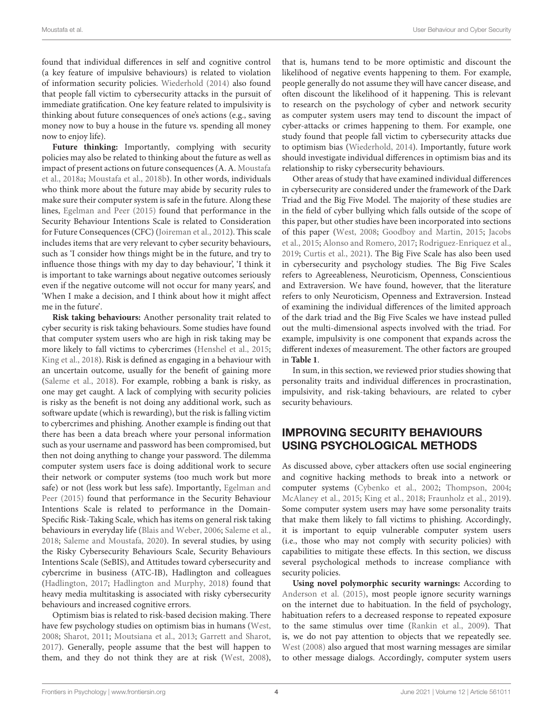found that individual differences in self and cognitive control (a key feature of impulsive behaviours) is related to violation of information security policies. [Wiederhold](#page-9-17) [\(2014\)](#page-9-17) also found that people fall victim to cybersecurity attacks in the pursuit of immediate gratification. One key feature related to impulsivity is thinking about future consequences of one's actions (e.g., saving money now to buy a house in the future vs. spending all money now to enjoy life).

**Future thinking:** Importantly, complying with security policies may also be related to thinking about the future as well as impact of present actions on future consequences (A. A. [Moustafa](#page-8-22) [et al.,](#page-8-22) [2018a;](#page-8-22) [Moustafa et al.,](#page-8-23) [2018b\)](#page-8-23). In other words, individuals who think more about the future may abide by security rules to make sure their computer system is safe in the future. Along these lines, [Egelman and Peer](#page-7-14) [\(2015\)](#page-7-14) found that performance in the Security Behaviour Intentions Scale is related to Consideration for Future Consequences (CFC) [\(Joireman et al.,](#page-8-24) [2012\)](#page-8-24). This scale includes items that are very relevant to cyber security behaviours, such as 'I consider how things might be in the future, and try to influence those things with my day to day behaviour', 'I think it is important to take warnings about negative outcomes seriously even if the negative outcome will not occur for many years', and 'When I make a decision, and I think about how it might affect me in the future'.

**Risk taking behaviours:** Another personality trait related to cyber security is risk taking behaviours. Some studies have found that computer system users who are high in risk taking may be more likely to fall victims to cybercrimes [\(Henshel et al.,](#page-7-30) [2015;](#page-7-30) [King et al.,](#page-8-5) [2018\)](#page-8-5). Risk is defined as engaging in a behaviour with an uncertain outcome, usually for the benefit of gaining more [\(Saleme et al.,](#page-9-18) [2018\)](#page-9-18). For example, robbing a bank is risky, as one may get caught. A lack of complying with security policies is risky as the benefit is not doing any additional work, such as software update (which is rewarding), but the risk is falling victim to cybercrimes and phishing. Another example is finding out that there has been a data breach where your personal information such as your username and password has been compromised, but then not doing anything to change your password. The dilemma computer system users face is doing additional work to secure their network or computer systems (too much work but more safe) or not (less work but less safe). Importantly, [Egelman and](#page-7-14) [Peer](#page-7-14) [\(2015\)](#page-7-14) found that performance in the Security Behaviour Intentions Scale is related to performance in the Domain-Specific Risk-Taking Scale, which has items on general risk taking behaviours in everyday life [\(Blais and Weber,](#page-7-31) [2006;](#page-7-31) [Saleme et al.,](#page-9-18) [2018;](#page-9-18) [Saleme and Moustafa,](#page-9-19) [2020\)](#page-9-19). In several studies, by using the Risky Cybersecurity Behaviours Scale, Security Behaviours Intentions Scale (SeBIS), and Attitudes toward cybersecurity and cybercrime in business (ATC-IB), Hadlington and colleagues [\(Hadlington,](#page-7-29) [2017;](#page-7-29) [Hadlington and Murphy,](#page-7-32) [2018\)](#page-7-32) found that heavy media multitasking is associated with risky cybersecurity behaviours and increased cognitive errors.

Optimism bias is related to risk-based decision making. There have few psychology studies on optimism bias in humans [\(West,](#page-9-4) [2008;](#page-9-4) [Sharot,](#page-9-20) [2011;](#page-9-20) [Moutsiana et al.,](#page-8-25) [2013;](#page-8-25) [Garrett and Sharot,](#page-7-33) [2017\)](#page-7-33). Generally, people assume that the best will happen to them, and they do not think they are at risk [\(West,](#page-9-4) [2008\)](#page-9-4),

that is, humans tend to be more optimistic and discount the likelihood of negative events happening to them. For example, people generally do not assume they will have cancer disease, and often discount the likelihood of it happening. This is relevant to research on the psychology of cyber and network security as computer system users may tend to discount the impact of cyber-attacks or crimes happening to them. For example, one study found that people fall victim to cybersecurity attacks due to optimism bias [\(Wiederhold,](#page-9-17) [2014\)](#page-9-17). Importantly, future work should investigate individual differences in optimism bias and its relationship to risky cybersecurity behaviours.

Other areas of study that have examined individual differences in cybersecurity are considered under the framework of the Dark Triad and the Big Five Model. The majority of these studies are in the field of cyber bullying which falls outside of the scope of this paper, but other studies have been incorporated into sections of this paper [\(West,](#page-9-4) [2008;](#page-9-4) [Goodboy and Martin,](#page-7-34) [2015;](#page-7-34) [Jacobs](#page-8-26) [et al.,](#page-8-26) [2015;](#page-8-26) [Alonso and Romero,](#page-6-4) [2017;](#page-6-4) [Rodriguez-Enriquez et al.,](#page-9-21) [2019;](#page-9-21) [Curtis et al.,](#page-7-35) [2021\)](#page-7-35). The Big Five Scale has also been used in cybersecurity and psychology studies. The Big Five Scales refers to Agreeableness, Neuroticism, Openness, Conscientious and Extraversion. We have found, however, that the literature refers to only Neuroticism, Openness and Extraversion. Instead of examining the individual differences of the limited approach of the dark triad and the Big Five Scales we have instead pulled out the multi-dimensional aspects involved with the triad. For example, impulsivity is one component that expands across the different indexes of measurement. The other factors are grouped in **[Table 1](#page-5-0)**.

In sum, in this section, we reviewed prior studies showing that personality traits and individual differences in procrastination, impulsivity, and risk-taking behaviours, are related to cyber security behaviours.

### IMPROVING SECURITY BEHAVIOURS USING PSYCHOLOGICAL METHODS

As discussed above, cyber attackers often use social engineering and cognitive hacking methods to break into a network or computer systems [\(Cybenko et al.,](#page-7-5) [2002;](#page-7-5) [Thompson,](#page-9-0) [2004;](#page-9-0) [McAlaney et al.,](#page-8-4) [2015;](#page-8-4) [King et al.,](#page-8-5) [2018;](#page-8-5) [Fraunholz et al.,](#page-7-6) [2019\)](#page-7-6). Some computer system users may have some personality traits that make them likely to fall victims to phishing. Accordingly, it is important to equip vulnerable computer system users (i.e., those who may not comply with security policies) with capabilities to mitigate these effects. In this section, we discuss several psychological methods to increase compliance with security policies.

**Using novel polymorphic security warnings:** According to [Anderson et al.](#page-6-5) [\(2015\)](#page-6-5), most people ignore security warnings on the internet due to habituation. In the field of psychology, habituation refers to a decreased response to repeated exposure to the same stimulus over time [\(Rankin et al.,](#page-9-22) [2009\)](#page-9-22). That is, we do not pay attention to objects that we repeatedly see. [West](#page-9-4) [\(2008\)](#page-9-4) also argued that most warning messages are similar to other message dialogs. Accordingly, computer system users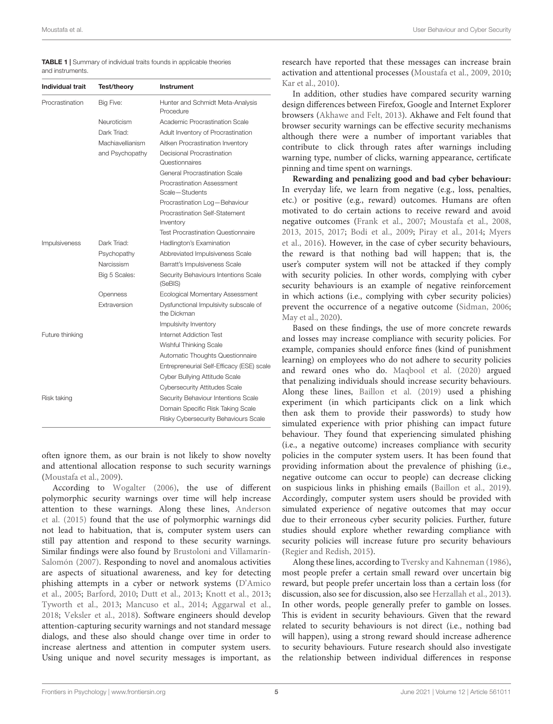<span id="page-5-0"></span>TABLE 1 | Summary of individual traits founds in applicable theories and instruments.

| <b>Individual trait</b> | <b>Test/theory</b>      | Instrument                                           |
|-------------------------|-------------------------|------------------------------------------------------|
| Procrastination         | Big Five:               | Hunter and Schmidt Meta-Analysis<br>Procedure        |
|                         | Neuroticism             | Academic Procrastination Scale                       |
|                         | Dark Triad <sup>.</sup> | Adult Inventory of Procrastination                   |
|                         | Machiavellianism        | Aitken Procrastination Inventory                     |
|                         | and Psychopathy         | Decisional Procrastination<br>Questionnaires         |
|                         |                         | General Procrastination Scale                        |
|                         |                         | Procrastination Assessment<br>Scale-Students         |
|                         |                         | Procrastination Log-Behaviour                        |
|                         |                         | Procrastination Self-Statement<br>Inventory          |
|                         |                         | <b>Test Procrastination Questionnaire</b>            |
| Impulsiveness           | Dark Triad:             | Hadlington's Examination                             |
|                         | Psychopathy             | Abbreviated Impulsiveness Scale                      |
|                         | Narcissism              | Barratt's Impulsiveness Scale                        |
|                         | Big 5 Scales:           | Security Behaviours Intentions Scale<br>(SeBIS)      |
|                         | Openness                | Ecological Momentary Assessment                      |
|                         | Extraversion            | Dysfunctional Impulsivity subscale of<br>the Dickman |
|                         |                         | Impulsivity Inventory                                |
| Future thinking         |                         | Internet Addiction Test                              |
|                         |                         | Wishful Thinking Scale                               |
|                         |                         | Automatic Thoughts Questionnaire                     |
|                         |                         | Entrepreneurial Self-Efficacy (ESE) scale            |
|                         |                         | Cyber Bullying Attitude Scale                        |
|                         |                         | <b>Cybersecurity Attitudes Scale</b>                 |
| Risk taking             |                         | Security Behaviour Intentions Scale                  |
|                         |                         | Domain Specific Risk Taking Scale                    |
|                         |                         | Risky Cybersecurity Behaviours Scale                 |

often ignore them, as our brain is not likely to show novelty and attentional allocation response to such security warnings [\(Moustafa et al.,](#page-8-27) [2009\)](#page-8-27).

According to [Wogalter](#page-9-23) [\(2006\)](#page-9-23), the use of different polymorphic security warnings over time will help increase attention to these warnings. Along these lines, [Anderson](#page-6-5) [et al.](#page-6-5) [\(2015\)](#page-6-5) found that the use of polymorphic warnings did not lead to habituation, that is, computer system users can still pay attention and respond to these security warnings. Similar findings were also found by [Brustoloni and Villamarín-](#page-7-36)[Salomón](#page-7-36) [\(2007\)](#page-7-36). Responding to novel and anomalous activities are aspects of situational awareness, and key for detecting phishing attempts in a cyber or network systems [\(D'Amico](#page-7-1) [et al.,](#page-7-1) [2005;](#page-7-1) [Barford,](#page-7-2) [2010;](#page-7-2) [Dutt et al.,](#page-7-3) [2013;](#page-7-3) [Knott et al.,](#page-8-2) [2013;](#page-8-2) [Tyworth et al.,](#page-9-2) [2013;](#page-9-2) [Mancuso et al.,](#page-8-3) [2014;](#page-8-3) [Aggarwal et al.,](#page-6-0) [2018;](#page-6-0) [Veksler et al.,](#page-9-3) [2018\)](#page-9-3). Software engineers should develop attention-capturing security warnings and not standard message dialogs, and these also should change over time in order to increase alertness and attention in computer system users. Using unique and novel security messages is important, as

research have reported that these messages can increase brain activation and attentional processes [\(Moustafa et al.,](#page-8-27) [2009,](#page-8-27) [2010;](#page-8-28) [Kar et al.,](#page-8-29) [2010\)](#page-8-29).

In addition, other studies have compared security warning design differences between Firefox, Google and Internet Explorer browsers [\(Akhawe and Felt,](#page-6-2) [2013\)](#page-6-2). Akhawe and Felt found that browser security warnings can be effective security mechanisms although there were a number of important variables that contribute to click through rates after warnings including warning type, number of clicks, warning appearance, certificate pinning and time spent on warnings.

**Rewarding and penalizing good and bad cyber behaviour:** In everyday life, we learn from negative (e.g., loss, penalties, etc.) or positive (e.g., reward) outcomes. Humans are often motivated to do certain actions to receive reward and avoid negative outcomes [\(Frank et al.,](#page-7-37) [2007;](#page-7-37) [Moustafa et al.,](#page-8-30) [2008,](#page-8-30) [2013,](#page-8-31) [2015,](#page-8-32) [2017;](#page-8-33) [Bodi et al.,](#page-7-38) [2009;](#page-7-38) [Piray et al.,](#page-8-34) [2014;](#page-8-34) [Myers](#page-8-35) [et al.,](#page-8-35) [2016\)](#page-8-35). However, in the case of cyber security behaviours, the reward is that nothing bad will happen; that is, the user's computer system will not be attacked if they comply with security policies. In other words, complying with cyber security behaviours is an example of negative reinforcement in which actions (i.e., complying with cyber security policies) prevent the occurrence of a negative outcome [\(Sidman,](#page-9-24) [2006;](#page-9-24) [May et al.,](#page-8-36) [2020\)](#page-8-36).

Based on these findings, the use of more concrete rewards and losses may increase compliance with security policies. For example, companies should enforce fines (kind of punishment learning) on employees who do not adhere to security policies and reward ones who do. [Maqbool et al.](#page-8-37) [\(2020\)](#page-8-37) argued that penalizing individuals should increase security behaviours. Along these lines, [Baillon et al.](#page-7-20) [\(2019\)](#page-7-20) used a phishing experiment (in which participants click on a link which then ask them to provide their passwords) to study how simulated experience with prior phishing can impact future behaviour. They found that experiencing simulated phishing (i.e., a negative outcome) increases compliance with security policies in the computer system users. It has been found that providing information about the prevalence of phishing (i.e., negative outcome can occur to people) can decrease clicking on suspicious links in phishing emails [\(Baillon et al.,](#page-7-20) [2019\)](#page-7-20). Accordingly, computer system users should be provided with simulated experience of negative outcomes that may occur due to their erroneous cyber security policies. Further, future studies should explore whether rewarding compliance with security policies will increase future pro security behaviours [\(Regier and Redish,](#page-9-25) [2015\)](#page-9-25).

Along these lines, according to [Tversky and Kahneman](#page-9-26) [\(1986\)](#page-9-26), most people prefer a certain small reward over uncertain big reward, but people prefer uncertain loss than a certain loss (for discussion, also see for discussion, also see [Herzallah et al.,](#page-7-39) [2013\)](#page-7-39). In other words, people generally prefer to gamble on losses. This is evident in security behaviours. Given that the reward related to security behaviours is not direct (i.e., nothing bad will happen), using a strong reward should increase adherence to security behaviours. Future research should also investigate the relationship between individual differences in response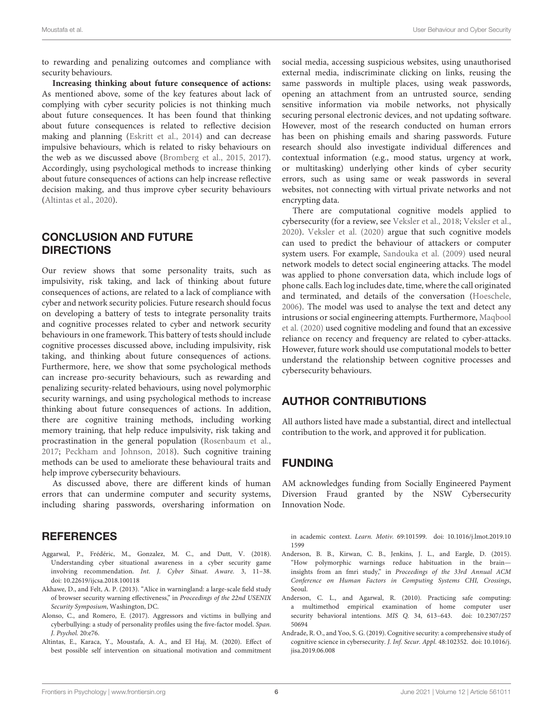to rewarding and penalizing outcomes and compliance with security behaviours.

**Increasing thinking about future consequence of actions:** As mentioned above, some of the key features about lack of complying with cyber security policies is not thinking much about future consequences. It has been found that thinking about future consequences is related to reflective decision making and planning [\(Eskritt et al.,](#page-7-40) [2014\)](#page-7-40) and can decrease impulsive behaviours, which is related to risky behaviours on the web as we discussed above [\(Bromberg et al.,](#page-7-41) [2015,](#page-7-41) [2017\)](#page-7-42). Accordingly, using psychological methods to increase thinking about future consequences of actions can help increase reflective decision making, and thus improve cyber security behaviours [\(Altintas et al.,](#page-6-6) [2020\)](#page-6-6).

### CONCLUSION AND FUTURE DIRECTIONS

Our review shows that some personality traits, such as impulsivity, risk taking, and lack of thinking about future consequences of actions, are related to a lack of compliance with cyber and network security policies. Future research should focus on developing a battery of tests to integrate personality traits and cognitive processes related to cyber and network security behaviours in one framework. This battery of tests should include cognitive processes discussed above, including impulsivity, risk taking, and thinking about future consequences of actions. Furthermore, here, we show that some psychological methods can increase pro-security behaviours, such as rewarding and penalizing security-related behaviours, using novel polymorphic security warnings, and using psychological methods to increase thinking about future consequences of actions. In addition, there are cognitive training methods, including working memory training, that help reduce impulsivity, risk taking and procrastination in the general population [\(Rosenbaum et al.,](#page-9-27) [2017;](#page-9-27) [Peckham and Johnson,](#page-8-38) [2018\)](#page-8-38). Such cognitive training methods can be used to ameliorate these behavioural traits and help improve cybersecurity behaviours.

As discussed above, there are different kinds of human errors that can undermine computer and security systems, including sharing passwords, oversharing information on

### **REFERENCES**

- <span id="page-6-0"></span>Aggarwal, P., Frédéric, M., Gonzalez, M. C., and Dutt, V. (2018). Understanding cyber situational awareness in a cyber security game involving recommendation. Int. J. Cyber Situat. Aware. 3, 11–38. [doi: 10.22619/ijcsa.2018.100118](https://doi.org/10.22619/ijcsa.2018.100118)
- <span id="page-6-2"></span>Akhawe, D., and Felt, A. P. (2013). "Alice in warningland: a large-scale field study of browser security warning effectiveness," in Proceedings of the 22nd USENIX Security Symposium, Washington, DC.
- <span id="page-6-4"></span>Alonso, C., and Romero, E. (2017). Aggressors and victims in bullying and cyberbullying: a study of personality profiles using the five-factor model. Span. J. Psychol. 20:e76.
- <span id="page-6-6"></span>Altintas, E., Karaca, Y., Moustafa, A. A., and El Haj, M. (2020). Effect of best possible self intervention on situational motivation and commitment

social media, accessing suspicious websites, using unauthorised external media, indiscriminate clicking on links, reusing the same passwords in multiple places, using weak passwords, opening an attachment from an untrusted source, sending sensitive information via mobile networks, not physically securing personal electronic devices, and not updating software. However, most of the research conducted on human errors has been on phishing emails and sharing passwords. Future research should also investigate individual differences and contextual information (e.g., mood status, urgency at work, or multitasking) underlying other kinds of cyber security errors, such as using same or weak passwords in several websites, not connecting with virtual private networks and not encrypting data.

There are computational cognitive models applied to cybersecurity (for a review, see [Veksler et al.,](#page-9-3) [2018;](#page-9-3) [Veksler et al.,](#page-9-28) [2020\)](#page-9-28). [Veksler et al.](#page-9-28) [\(2020\)](#page-9-28) argue that such cognitive models can used to predict the behaviour of attackers or computer system users. For example, [Sandouka et al.](#page-9-29) [\(2009\)](#page-9-29) used neural network models to detect social engineering attacks. The model was applied to phone conversation data, which include logs of phone calls. Each log includes date, time, where the call originated and terminated, and details of the conversation [\(Hoeschele,](#page-8-39) [2006\)](#page-8-39). The model was used to analyse the text and detect any intrusions or social engineering attempts. Furthermore, [Maqbool](#page-8-37) [et al.](#page-8-37) [\(2020\)](#page-8-37) used cognitive modeling and found that an excessive reliance on recency and frequency are related to cyber-attacks. However, future work should use computational models to better understand the relationship between cognitive processes and cybersecurity behaviours.

### AUTHOR CONTRIBUTIONS

All authors listed have made a substantial, direct and intellectual contribution to the work, and approved it for publication.

### FUNDING

AM acknowledges funding from Socially Engineered Payment Diversion Fraud granted by the NSW Cybersecurity Innovation Node.

in academic context. Learn. Motiv. 69:101599. [doi: 10.1016/j.lmot.2019.10](https://doi.org/10.1016/j.lmot.2019.101599) [1599](https://doi.org/10.1016/j.lmot.2019.101599)

- <span id="page-6-5"></span>Anderson, B. B., Kirwan, C. B., Jenkins, J. L., and Eargle, D. (2015). "How polymorphic warnings reduce habituation in the brain insights from an fmri study," in Proceedings of the 33rd Annual ACM Conference on Human Factors in Computing Systems CHI, Crossings, Seoul.
- <span id="page-6-1"></span>Anderson, C. L., and Agarwal, R. (2010). Practicing safe computing: a multimethod empirical examination of home computer user security behavioral intentions. MIS Q. 34, 613–643. [doi: 10.2307/257](https://doi.org/10.2307/25750694) [50694](https://doi.org/10.2307/25750694)
- <span id="page-6-3"></span>Andrade, R. O., and Yoo, S. G. (2019). Cognitive security: a comprehensive study of cognitive science in cybersecurity. J. Inf. Secur. Appl. 48:102352. [doi: 10.1016/j.](https://doi.org/10.1016/j.jisa.2019.06.008) [jisa.2019.06.008](https://doi.org/10.1016/j.jisa.2019.06.008)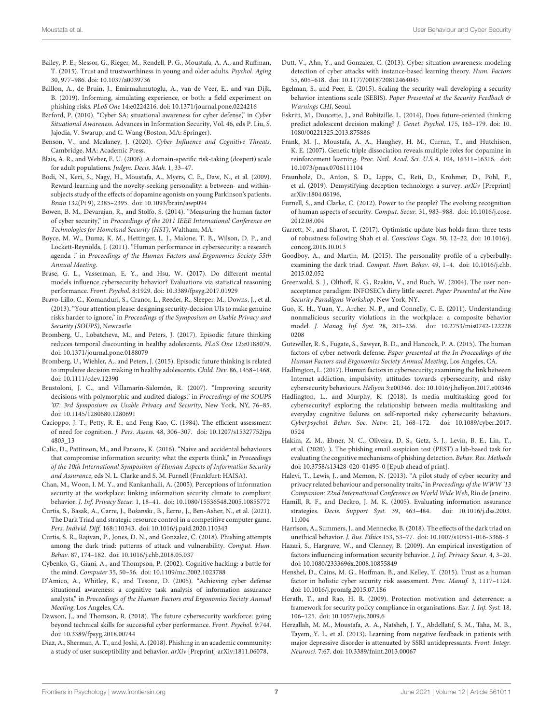- <span id="page-7-26"></span>Bailey, P. E., Slessor, G., Rieger, M., Rendell, P. G., Moustafa, A. A., and Ruffman, T. (2015). Trust and trustworthiness in young and older adults. Psychol. Aging 30, 977–986. [doi: 10.1037/a0039736](https://doi.org/10.1037/a0039736)
- <span id="page-7-20"></span>Baillon, A., de Bruin, J., Emirmahmutoglu, A., van de Veer, E., and van Dijk, B. (2019). Informing, simulating experience, or both: a field experiment on phishing risks. PLoS One 14:e0224216. [doi: 10.1371/journal.pone.0224216](https://doi.org/10.1371/journal.pone.0224216)
- <span id="page-7-2"></span>Barford, P. (2010). "Cyber SA: situational awareness for cyber defense," in Cyber Situational Awareness. Advances in Information Security, Vol. 46, eds P. Liu, S. Jajodia, V. Swarup, and C. Wang (Boston, MA: Springer).
- <span id="page-7-0"></span>Benson, V., and Mcalaney, J. (2020). Cyber Influence and Cognitive Threats. Cambridge, MA: Academic Press.
- <span id="page-7-31"></span>Blais, A. R., and Weber, E. U. (2006). A domain-specific risk-taking (dospert) scale for adult populations. Judgm. Decis. Mak. 1, 33–47.
- <span id="page-7-38"></span>Bodi, N., Keri, S., Nagy, H., Moustafa, A., Myers, C. E., Daw, N., et al. (2009). Reward-learning and the novelty-seeking personality: a between- and withinsubjects study of the effects of dopamine agonists on young Parkinson's patients. Brain 132(Pt 9), 2385–2395. [doi: 10.1093/brain/awp094](https://doi.org/10.1093/brain/awp094)
- <span id="page-7-7"></span>Bowen, B. M., Devarajan, R., and Stolfo, S. (2014). "Measuring the human factor of cyber security," in Proceedings of the 2011 IEEE International Conference on Technologies for Homeland Security (HST), Waltham, MA.
- <span id="page-7-17"></span>Boyce, M. W., Duma, K. M., Hettinger, L. J., Malone, T. B., Wilson, D. P., and Lockett-Reynolds, J. (2011). "Human performance in cybersecurity: a research agenda ," in Proceedings of the Human Factors and Ergonomics Society 55th Annual Meeting.
- <span id="page-7-13"></span>Brase, G. L., Vasserman, E. Y., and Hsu, W. (2017). Do different mental models influence cybersecurity behavior? Evaluations via statistical reasoning performance. Front. Psychol. 8:1929. [doi: 10.3389/fpsyg.2017.01929](https://doi.org/10.3389/fpsyg.2017.01929)
- <span id="page-7-12"></span>Bravo-Lillo, C., Komanduri, S., Cranor, L., Reeder, R., Sleeper, M., Downs, J., et al. (2013). "Your attention please: designing security-decision UIs to make genuine risks harder to ignore," in Proceedings of the Symposium on Usable Privacy and Security (SOUPS), Newcastle.
- <span id="page-7-42"></span>Bromberg, U., Lobatcheva, M., and Peters, J. (2017). Episodic future thinking reduces temporal discounting in healthy adolescents. PLoS One 12:e0188079. [doi: 10.1371/journal.pone.0188079](https://doi.org/10.1371/journal.pone.0188079)
- <span id="page-7-41"></span>Bromberg, U., Wiehler, A., and Peters, J. (2015). Episodic future thinking is related to impulsive decision making in healthy adolescents. Child. Dev. 86, 1458–1468. [doi: 10.1111/cdev.12390](https://doi.org/10.1111/cdev.12390)
- <span id="page-7-36"></span>Brustoloni, J. C., and Villamarín-Salomón, R. (2007). "Improving security decisions with polymorphic and audited dialogs," in Proceedings of the SOUPS '07: 3rd Symposium on Usable Privacy and Security, New York, NY, 76–85. [doi: 10.1145/1280680.1280691](https://doi.org/10.1145/1280680.1280691)
- <span id="page-7-28"></span>Cacioppo, J. T., Petty, R. E., and Feng Kao, C. (1984). The efficient assessment of need for cognition. J. Pers. Assess. 48, 306–307. [doi: 10.1207/s15327752jpa](https://doi.org/10.1207/s15327752jpa4803_13) [4803\\_13](https://doi.org/10.1207/s15327752jpa4803_13)
- <span id="page-7-18"></span>Calic, D., Pattinson, M., and Parsons, K. (2016). "Naive and accidental behaviours that compromise information security: what the experts think," in Proceedings of the 10th International Symposium of Human Aspects of Information Security and Assurance, eds N. L. Clarke and S. M. Furnell (Frankfurt: HAISA).
- <span id="page-7-8"></span>Chan, M., Woon, I. M. Y., and Kankanhalli, A. (2005). Perceptions of information security at the workplace: linking information security climate to compliant behavior. J. Inf. Privacy Secur. 1, 18–41. [doi: 10.1080/15536548.2005.10855772](https://doi.org/10.1080/15536548.2005.10855772)
- <span id="page-7-35"></span>Curtis, S., Basak, A., Carre, J., Bošansk*ı*, B., Èern*ı*, J., Ben-Asher, N., et al. (2021). The Dark Triad and strategic resource control in a competitive computer game. Pers. Individ. Diff. 168:110343. [doi: 10.1016/j.paid.2020.110343](https://doi.org/10.1016/j.paid.2020.110343)
- <span id="page-7-23"></span>Curtis, S. R., Rajivan, P., Jones, D. N., and Gonzalez, C. (2018). Phishing attempts among the dark triad: patterns of attack and vulnerability. Comput. Hum. Behav. 87, 174–182. [doi: 10.1016/j.chb.2018.05.037](https://doi.org/10.1016/j.chb.2018.05.037)
- <span id="page-7-5"></span>Cybenko, G., Giani, A., and Thompson, P. (2002). Cognitive hacking: a battle for the mind. Computer 35, 50–56. [doi: 10.1109/mc.2002.1023788](https://doi.org/10.1109/mc.2002.1023788)
- <span id="page-7-1"></span>D'Amico, A., Whitley, K., and Tesone, D. (2005). "Achieving cyber defense situational awareness: a cognitive task analysis of information assurance analysts," in Proceedings of the Human Factors and Ergonomics Society Annual Meeting, Los Angeles, CA.
- <span id="page-7-27"></span>Dawson, J., and Thomson, R. (2018). The future cybersecurity workforce: going beyond technical skills for successful cyber performance. Front. Psychol. 9:744. [doi: 10.3389/fpsyg.2018.00744](https://doi.org/10.3389/fpsyg.2018.00744)
- <span id="page-7-21"></span>Diaz, A., Sherman, A. T., and Joshi, A. (2018). Phishing in an academic community: a study of user susceptibility and behavior. arXiv [Preprint] arXiv:1811.06078,
- <span id="page-7-3"></span>Dutt, V., Ahn, Y., and Gonzalez, C. (2013). Cyber situation awareness: modeling detection of cyber attacks with instance-based learning theory. Hum. Factors 55, 605–618. [doi: 10.1177/0018720812464045](https://doi.org/10.1177/0018720812464045)
- <span id="page-7-14"></span>Egelman, S., and Peer, E. (2015). Scaling the security wall developing a security behavior intentions scale (SEBIS). Paper Presented at the Security Feedback & Warnings CHI, Seoul.
- <span id="page-7-40"></span>Eskritt, M., Doucette, J., and Robitaille, L. (2014). Does future-oriented thinking predict adolescent decision making? J. Genet. Psychol. 175, 163–179. [doi: 10.](https://doi.org/10.1080/00221325.2013.875886) [1080/00221325.2013.875886](https://doi.org/10.1080/00221325.2013.875886)
- <span id="page-7-37"></span>Frank, M. J., Moustafa, A. A., Haughey, H. M., Curran, T., and Hutchison, K. E. (2007). Genetic triple dissociation reveals multiple roles for dopamine in reinforcement learning. Proc. Natl. Acad. Sci. U.S.A. 104, 16311–16316. [doi:](https://doi.org/10.1073/pnas.0706111104) [10.1073/pnas.0706111104](https://doi.org/10.1073/pnas.0706111104)
- <span id="page-7-6"></span>Fraunholz, D., Anton, S. D., Lipps, C., Reti, D., Krohmer, D., Pohl, F., et al. (2019). Demystifying deception technology: a survey. arXiv [Preprint] arXiv:1804.06196,
- <span id="page-7-16"></span>Furnell, S., and Clarke, C. (2012). Power to the people? The evolving recognition of human aspects of security. Comput. Secur. 31, 983–988. [doi: 10.1016/j.cose.](https://doi.org/10.1016/j.cose.2012.08.004) [2012.08.004](https://doi.org/10.1016/j.cose.2012.08.004)
- <span id="page-7-33"></span>Garrett, N., and Sharot, T. (2017). Optimistic update bias holds firm: three tests of robustness following Shah et al. Conscious Cogn. 50, 12–22. [doi: 10.1016/j.](https://doi.org/10.1016/j.concog.2016.10.013) [concog.2016.10.013](https://doi.org/10.1016/j.concog.2016.10.013)
- <span id="page-7-34"></span>Goodboy, A., and Martin, M. (2015). The personality profile of a cyberbully: examining the dark triad. Comput. Hum. Behav. 49, 1–4. [doi: 10.1016/j.chb.](https://doi.org/10.1016/j.chb.2015.02.052) [2015.02.052](https://doi.org/10.1016/j.chb.2015.02.052)
- <span id="page-7-11"></span>Greenwald, S. J., Olthoff, K. G., Raskin, V., and Ruch, W. (2004). The user nonacceptance paradigm: INFOSEC's dirty little secret. Paper Presented at the New Security Paradigms Workshop, New York, NY.
- <span id="page-7-10"></span>Guo, K. H., Yuan, Y., Archer, N. P., and Connelly, C. E. (2011). Understanding nonmalicious security violations in the workplace: a composite behavior model. J. Manag. Inf. Syst. 28, 203–236. [doi: 10.2753/mis0742-122228](https://doi.org/10.2753/mis0742-1222280208) [0208](https://doi.org/10.2753/mis0742-1222280208)
- <span id="page-7-4"></span>Gutzwiller, R. S., Fugate, S., Sawyer, B. D., and Hancock, P. A. (2015). The human factors of cyber network defense. Paper presented at the In Proceedings of the Human Factors and Ergonomics Society Annual Meeting, Los Angeles, CA.
- <span id="page-7-29"></span>Hadlington, L. (2017). Human factors in cybersecurity; examining the link between Internet addiction, impulsivity, attitudes towards cybersecurity, and risky cybersecurity behaviours. Heliyon 3:e00346. [doi: 10.1016/j.heliyon.2017.e00346](https://doi.org/10.1016/j.heliyon.2017.e00346)
- <span id="page-7-32"></span>Hadlington, L., and Murphy, K. (2018). Is media multitasking good for cybersecurity? exploring the relationship between media multitasking and everyday cognitive failures on self-reported risky cybersecurity behaviors. Cyberpsychol. Behav. Soc. Netw. 21, 168–172. [doi: 10.1089/cyber.2017.](https://doi.org/10.1089/cyber.2017.0524) [0524](https://doi.org/10.1089/cyber.2017.0524)
- <span id="page-7-19"></span>Hakim, Z. M., Ebner, N. C., Oliveira, D. S., Getz, S. J., Levin, B. E., Lin, T., et al. (2020). ). The phishing email suspicion test (PEST) a lab-based task for evaluating the cognitive mechanisms of phishing detection. Behav. Res. Methods [doi: 10.3758/s13428-020-01495-0](https://doi.org/10.3758/s13428-020-01495-0) [Epub ahead of print].
- <span id="page-7-24"></span>Halevi, T., Lewis, J., and Memon, N. (2013). "A pilot study of cyber security and privacy related behaviour and personality traits," in Proceedings of the WWW'13 Companion: 22nd International Conference on World Wide Web, Rio de Janeiro.
- <span id="page-7-22"></span>Hamill, R. F., and Deckro, J. M. K. (2005). Evaluating information assurance strategies. Decis. Support Syst. 39, 463–484. [doi: 10.1016/j.dss.2003.](https://doi.org/10.1016/j.dss.2003.11.004) [11.004](https://doi.org/10.1016/j.dss.2003.11.004)
- <span id="page-7-15"></span>Harrison, A., Summers, J., and Mennecke, B. (2018). The effects of the dark triad on unethical behavior. J. Bus. Ethics 153, 53–77. [doi: 10.1007/s10551-016-3368-3](https://doi.org/10.1007/s10551-016-3368-3)
- <span id="page-7-9"></span>Hazari, S., Hargrave, W., and Clenney, B. (2009). An empirical investigation of factors influencing information security behavior. J. Inf. Privacy Secur. 4, 3–20. [doi: 10.1080/2333696x.2008.10855849](https://doi.org/10.1080/2333696x.2008.10855849)
- <span id="page-7-30"></span>Henshel, D., Cains, M. G., Hoffman, B., and Kelley, T. (2015). Trust as a human factor in holistic cyber security risk assessment. Proc. Manuf. 3, 1117–1124. [doi: 10.1016/j.promfg.2015.07.186](https://doi.org/10.1016/j.promfg.2015.07.186)
- <span id="page-7-25"></span>Herath, T., and Rao, H. R. (2009). Protection motivation and deterrence: a framework for security policy compliance in organisations. Eur. J. Inf. Syst. 18, 106–125. [doi: 10.1057/ejis.2009.6](https://doi.org/10.1057/ejis.2009.6)
- <span id="page-7-39"></span>Herzallah, M. M., Moustafa, A. A., Natsheh, J. Y., Abdellatif, S. M., Taha, M. B., Tayem, Y. I., et al. (2013). Learning from negative feedback in patients with major depressive disorder is attenuated by SSRI antidepressants. Front. Integr. Neurosci. 7:67. [doi: 10.3389/fnint.2013.00067](https://doi.org/10.3389/fnint.2013.00067)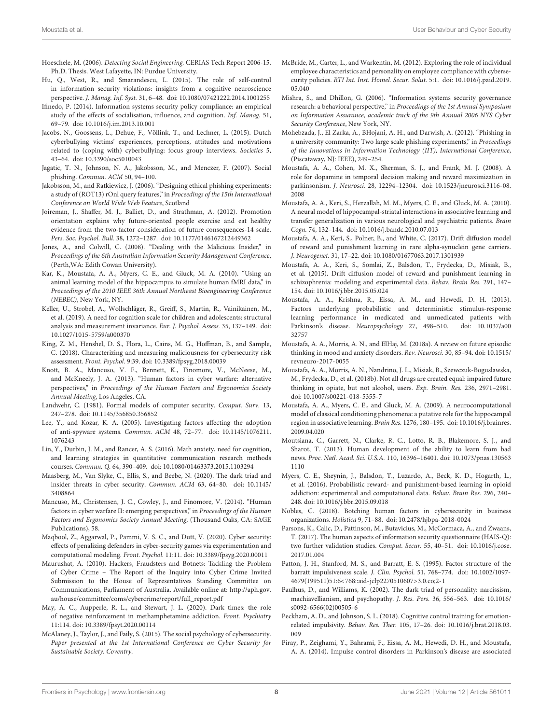- <span id="page-8-39"></span>Hoeschele, M. (2006). Detecting Social Engineering. CERIAS Tech Report 2006-15. Ph.D. Thesis. West Lafayette, IN: Purdue University.
- <span id="page-8-21"></span>Hu, Q., West, R., and Smarandescu, L. (2015). The role of self-control in information security violations: insights from a cognitive neuroscience perspective. J. Manag. Inf. Syst. 31, 6–48. [doi: 10.1080/07421222.2014.1001255](https://doi.org/10.1080/07421222.2014.1001255)
- <span id="page-8-11"></span>Ifinedo, P. (2014). Information systems security policy compliance: an empirical study of the effects of socialisation, influence, and cognition. Inf. Manag. 51, 69–79. [doi: 10.1016/j.im.2013.10.001](https://doi.org/10.1016/j.im.2013.10.001)
- <span id="page-8-26"></span>Jacobs, N., Goossens, L., Dehue, F., Völlink, T., and Lechner, L. (2015). Dutch cyberbullying victims' experiences, perceptions, attitudes and motivations related to (coping with) cyberbullying: focus group interviews. Societies 5, 43–64. [doi: 10.3390/soc5010043](https://doi.org/10.3390/soc5010043)
- <span id="page-8-13"></span>Jagatic, T. N., Johnson, N. A., Jakobsson, M., and Menczer, F. (2007). Social phishing. Commun. ACM 50, 94–100.
- <span id="page-8-12"></span>Jakobsson, M., and Ratkiewicz, J. (2006). "Designing ethical phishing experiments: a study of (ROT13) rOnl query features," in Proceedings of the 15th International Conference on World Wide Web Feature, Scotland
- <span id="page-8-24"></span>Joireman, J., Shaffer, M. J., Balliet, D., and Strathman, A. (2012). Promotion orientation explains why future-oriented people exercise and eat healthy evidence from the two-factor consideration of future consequences-14 scale. Pers. Soc. Psychol. Bull. 38, 1272–1287. [doi: 10.1177/0146167212449362](https://doi.org/10.1177/0146167212449362)
- <span id="page-8-14"></span>Jones, A., and Colwill, C. (2008). "Dealing with the Malicious Insider," in Proceedings of the 6th Australian Information Security Management Conference, (Perth,WA: Edith Cowan University).
- <span id="page-8-29"></span>Kar, K., Moustafa, A. A., Myers, C. E., and Gluck, M. A. (2010). "Using an animal learning model of the hippocampus to simulate human fMRI data," in Proceedings of the 2010 IEEE 36th Annual Northeast Bioengineering Conference (NEBEC), New York, NY.
- <span id="page-8-18"></span>Keller, U., Strobel, A., Wollschläger, R., Greiff, S., Martin, R., Vainikainen, M., et al. (2019). A need for cognition scale for children and adolescents: structural analysis and measurement invariance. Eur. J. Psychol. Assess. 35, 137–149. [doi:](https://doi.org/10.1027/1015-5759/a000370) [10.1027/1015-5759/a000370](https://doi.org/10.1027/1015-5759/a000370)
- <span id="page-8-5"></span>King, Z. M., Henshel, D. S., Flora, L., Cains, M. G., Hoffman, B., and Sample, C. (2018). Characterizing and measuring maliciousness for cybersecurity risk assessment. Front. Psychol. 9:39. [doi: 10.3389/fpsyg.2018.00039](https://doi.org/10.3389/fpsyg.2018.00039)
- <span id="page-8-2"></span>Knott, B. A., Mancuso, V. F., Bennett, K., Finomore, V., McNeese, M., and McKneely, J. A. (2013). "Human factors in cyber warfare: alternative perspectives," in Proceedings of the Human Factors and Ergonomics Society Annual Meeting, Los Angeles, CA.
- <span id="page-8-0"></span>Landwehr, C. (1981). Formal models of computer security. Comput. Surv. 13, 247–278. [doi: 10.1145/356850.356852](https://doi.org/10.1145/356850.356852)
- <span id="page-8-6"></span>Lee, Y., and Kozar, K. A. (2005). Investigating factors affecting the adoption of anti-spyware systems. Commun. ACM 48, 72–77. [doi: 10.1145/1076211.](https://doi.org/10.1145/1076211.1076243) [1076243](https://doi.org/10.1145/1076211.1076243)
- <span id="page-8-17"></span>Lin, Y., Durbin, J. M., and Rancer, A. S. (2016). Math anxiety, need for cognition, and learning strategies in quantitative communication research methods courses. Commun. Q. 64, 390–409. [doi: 10.1080/01463373.2015.1103294](https://doi.org/10.1080/01463373.2015.1103294)
- <span id="page-8-9"></span>Maasberg, M., Van Slyke, C., Ellis, S., and Beebe, N. (2020). The dark triad and insider threats in cyber security. Commun. ACM 63, 64–80. [doi: 10.1145/](https://doi.org/10.1145/3408864) [3408864](https://doi.org/10.1145/3408864)
- <span id="page-8-3"></span>Mancuso, M., Christensen, J. C., Cowley, J., and Finomore, V. (2014). "Human factors in cyber warfare II: emerging perspectives," in Proceedings of the Human Factors and Ergonomics Society Annual Meeting, (Thousand Oaks, CA: SAGE Publications), 58.
- <span id="page-8-37"></span>Maqbool, Z., Aggarwal, P., Pammi, V. S. C., and Dutt, V. (2020). Cyber security: effects of penalizing defenders in cyber-security games via experimentation and computational modeling. Front. Psychol. 11:11. [doi: 10.3389/fpsyg.2020.00011](https://doi.org/10.3389/fpsyg.2020.00011)
- <span id="page-8-7"></span>Maurushat, A. (2010). Hackers, Fraudsters and Botnets: Tackling the Problem of Cyber Crime – The Report of the Inquiry into Cyber Crime Invited Submission to the House of Representatives Standing Committee on Communications, Parliament of Australia. Available online at: [http://aph.gov.](http://aph.gov.au/house/committee/coms/cybercrime/report/full_report.pdf) [au/house/committee/coms/cybercrime/report/full\\_report.pdf](http://aph.gov.au/house/committee/coms/cybercrime/report/full_report.pdf)
- <span id="page-8-36"></span>May, A. C., Aupperle, R. L., and Stewart, J. L. (2020). Dark times: the role of negative reinforcement in methamphetamine addiction. Front. Psychiatry 11:114. [doi: 10.3389/fpsyt.2020.00114](https://doi.org/10.3389/fpsyt.2020.00114)
- <span id="page-8-4"></span>McAlaney, J., Taylor, J., and Faily, S. (2015). The social psychology of cybersecurity. Paper presented at the 1st International Conference on Cyber Security for Sustainable Society. Coventry.
- <span id="page-8-19"></span>McBride, M., Carter, L., and Warkentin, M. (2012). Exploring the role of individual employee characteristics and personality on employee compliance with cybersecurity policies. RTI Int. Inst. Homel. Secur. Solut. 5:1. [doi: 10.1016/j.paid.2019.](https://doi.org/10.1016/j.paid.2019.05.040) [05.040](https://doi.org/10.1016/j.paid.2019.05.040)
- <span id="page-8-8"></span>Mishra, S., and Dhillon, G. (2006). "Information systems security governance research: a behavioral perspective," in Proceedings of the 1st Annual Symposium on Information Assurance, academic track of the 9th Annual 2006 NYS Cyber Security Conference, New York, NY.
- <span id="page-8-15"></span>Mohebzada, J., El Zarka, A., BHojani, A. H., and Darwish, A. (2012). "Phishing in a university community: Two large scale phishing experiments," in Proceedings of the Innovations in Information Technology (IIT), International Conference, (Piscataway, NJ: IEEE), 249–254.
- <span id="page-8-30"></span>Moustafa, A. A., Cohen, M. X., Sherman, S. J., and Frank, M. J. (2008). A role for dopamine in temporal decision making and reward maximization in parkinsonism. J. Neurosci. 28, 12294–12304. [doi: 10.1523/jneurosci.3116-08.](https://doi.org/10.1523/jneurosci.3116-08.2008) [2008](https://doi.org/10.1523/jneurosci.3116-08.2008)
- <span id="page-8-28"></span>Moustafa, A. A., Keri, S., Herzallah, M. M., Myers, C. E., and Gluck, M. A. (2010). A neural model of hippocampal-striatal interactions in associative learning and transfer generalization in various neurological and psychiatric patients. Brain Cogn. 74, 132–144. [doi: 10.1016/j.bandc.2010.07.013](https://doi.org/10.1016/j.bandc.2010.07.013)
- <span id="page-8-33"></span>Moustafa, A. A., Keri, S., Polner, B., and White, C. (2017). Drift diffusion model of reward and punishment learning in rare alpha-synuclein gene carriers. J. Neurogenet. 31, 17–22. [doi: 10.1080/01677063.2017.1301939](https://doi.org/10.1080/01677063.2017.1301939)
- <span id="page-8-32"></span>Moustafa, A. A., Keri, S., Somlai, Z., Balsdon, T., Frydecka, D., Misiak, B., et al. (2015). Drift diffusion model of reward and punishment learning in schizophrenia: modeling and experimental data. Behav. Brain Res. 291, 147– 154. [doi: 10.1016/j.bbr.2015.05.024](https://doi.org/10.1016/j.bbr.2015.05.024)
- <span id="page-8-31"></span>Moustafa, A. A., Krishna, R., Eissa, A. M., and Hewedi, D. H. (2013). Factors underlying probabilistic and deterministic stimulus-response learning performance in medicated and unmedicated patients with<br>Parkinson's disease. Neuropsychology 27, 498-510. doi: 10.1037/a00 Parkinson's disease. Neuropsychology 27, 498-510. [32757](https://doi.org/10.1037/a0032757)
- <span id="page-8-22"></span>Moustafa, A. A., Morris, A. N., and ElHaj, M. (2018a). A review on future episodic thinking in mood and anxiety disorders. Rev. Neurosci. 30, 85–94. [doi: 10.1515/](https://doi.org/10.1515/revneuro-2017-0055) [revneuro-2017-0055](https://doi.org/10.1515/revneuro-2017-0055)
- <span id="page-8-23"></span>Moustafa, A. A., Morris, A. N., Nandrino, J. L., Misiak, B., Szewczuk-Boguslawska, M., Frydecka, D., et al. (2018b). Not all drugs are created equal: impaired future thinking in opiate, but not alcohol, users. Exp. Brain. Res. 236, 2971–2981. [doi: 10.1007/s00221-018-5355-7](https://doi.org/10.1007/s00221-018-5355-7)
- <span id="page-8-27"></span>Moustafa, A. A., Myers, C. E., and Gluck, M. A. (2009). A neurocomputational model of classical conditioning phenomena: a putative role for the hippocampal region in associative learning. Brain Res. 1276, 180–195. [doi: 10.1016/j.brainres.](https://doi.org/10.1016/j.brainres.2009.04.020) [2009.04.020](https://doi.org/10.1016/j.brainres.2009.04.020)
- <span id="page-8-25"></span>Moutsiana, C., Garrett, N., Clarke, R. C., Lotto, R. B., Blakemore, S. J., and Sharot, T. (2013). Human development of the ability to learn from bad news. Proc. Natl. Acad. Sci. U.S.A. 110, 16396–16401. [doi: 10.1073/pnas.130563](https://doi.org/10.1073/pnas.1305631110) [1110](https://doi.org/10.1073/pnas.1305631110)
- <span id="page-8-35"></span>Myers, C. E., Sheynin, J., Balsdon, T., Luzardo, A., Beck, K. D., Hogarth, L., et al. (2016). Probabilistic reward- and punishment-based learning in opioid addiction: experimental and computational data. Behav. Brain Res. 296, 240– 248. [doi: 10.1016/j.bbr.2015.09.018](https://doi.org/10.1016/j.bbr.2015.09.018)
- <span id="page-8-1"></span>Nobles, C. (2018). Botching human factors in cybersecurity in business organizations. Holistica 9, 71–88. [doi: 10.2478/hjbpa-2018-0024](https://doi.org/10.2478/hjbpa-2018-0024)
- <span id="page-8-16"></span>Parsons, K., Calic, D., Pattinson, M., Butavicius, M., McCormaca, A., and Zwaans, T. (2017). The human aspects of information security questionnaire (HAIS-Q): two further validation studies. Comput. Secur. 55, 40–51. [doi: 10.1016/j.cose.](https://doi.org/10.1016/j.cose.2017.01.004) [2017.01.004](https://doi.org/10.1016/j.cose.2017.01.004)
- <span id="page-8-20"></span>Patton, J. H., Stanford, M. S., and Barratt, E. S. (1995). Factor structure of the barratt impulsiveness scale. J. Clin. Psychol. 51, 768–774. [doi: 10.1002/1097-](https://doi.org/10.1002/1097-4679(199511)51:6<768::aid-jclp2270510607>3.0.co;2-1) [4679\(199511\)51:6<768::aid-jclp2270510607>3.0.co;2-1](https://doi.org/10.1002/1097-4679(199511)51:6<768::aid-jclp2270510607>3.0.co;2-1)
- <span id="page-8-10"></span>Paulhus, D., and Williams, K. (2002). The dark triad of personality: narcissism, machiavellianism, and psychopathy. J. Res. Pers. 36, 556–563. [doi: 10.1016/](https://doi.org/10.1016/s0092-6566(02)00505-6) [s0092-6566\(02\)00505-6](https://doi.org/10.1016/s0092-6566(02)00505-6)
- <span id="page-8-38"></span>Peckham, A. D., and Johnson, S. L. (2018). Cognitive control training for emotionrelated impulsivity. Behav. Res. Ther. 105, 17–26. [doi: 10.1016/j.brat.2018.03.](https://doi.org/10.1016/j.brat.2018.03.009) [009](https://doi.org/10.1016/j.brat.2018.03.009)
- <span id="page-8-34"></span>Piray, P., Zeighami, Y., Bahrami, F., Eissa, A. M., Hewedi, D. H., and Moustafa, A. A. (2014). Impulse control disorders in Parkinson's disease are associated